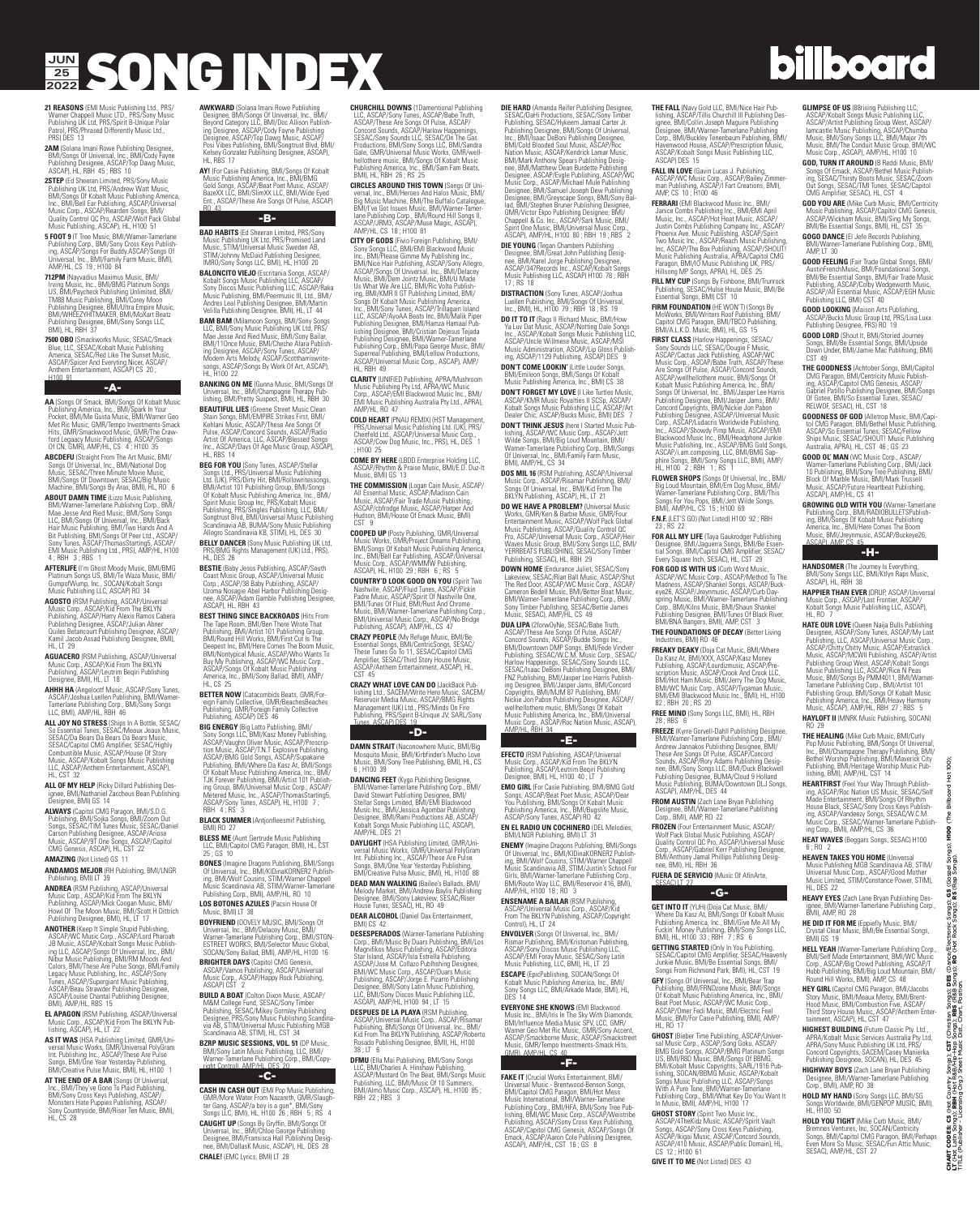#### **MON 25 25** SONG INDEX **25**

**21 REASONS** (EMI Music Publishing Ltd., PRS/<br>Warner Chappell Music LTD., PRS/Sony Music<br>Publishing UK Ltd, PRS/Spirit B-Unique Polar<br>Patrol, PRS/Phrased Differently Music Ltd.,<br>PRS) DES 13

**2AM** (Solana Imani Rowe Publishing Designee, BMI/Songs Of Universal, Inc., BMI/Cody Fayne Publishing Designee, ASCAP/Top Dawg Music, ASCAP), HL, RBH 45 ; RBS 10

**2STEP** (Ed Sheeran Limited, PRS/Sony Music,<br>Publishing UK Ltd, PRS/Andrew Wart Music,<br>BMI/Songs Of Kobalt Music Publishing America,<br>Inc., BMI/Bell Ear Publishing, ASCAP/Universal<br>Music Corp., ASCAP/Rearden Songs, BMI/<br>Qua **5 FOOT 9** (T Tree Music, BMI/Warner-Tamerlane

Publishing Corp., BMI/Sony Cross Keys Publish-ing, ASCAP/Songs For Buddy.ASCAP/Songs Of Universal, Inc., BMI/Family Farm Music, BMI), AMP/HL, CS 19 ; H100 84

**712PM** (Nayvadius Maximus Music, BMI/<br>
Irving Music, Inc., BMI/BMG Platinum Songs<br>
US, BMI/Paycheck Publishing Unlimited, BMI/<br>
TM88 Music Publishing Islam<br>
Publishing Designee, BMI/Ultra Empire Music,<br>
BMI/WHEEZYHITMAKER

**7500 OBO** (Smackworks Music, SESAC/Smack Blue, LLC, SESAC/Kobalt Music Publishing<br>America, SESAC/Red Like The Sunset Music,<br>ASCAP/Spicer And Everyting Nicer, ASCAP/<br>Anthem Entertainment, ASCAP) CS 20 ;<br>Anthem Entertainmen

-A-AA (Songs Of Smack, BM/Songs Of Kobalt Music<br>Philishing America, Inc., BM/Spark In Your<br>Pocket, BMI/Me Gusta Music, BMI/Warner Geo<br>Met Ric Music, GMP/Terno Investments-Smack<br>Hits, GMP/Smackwood Music, GMR/The Craw-<br>ford Le

**ABCDEFU** (Straight From The Art Music, BMI/<br>
Songs Of Universal, Inc., BMI/National Dog<br>
Music, SESAC/Three Minute Movie Music,<br>
BMI/Songs Of Downtown, SESAC/Big Music<br>
Machine, BMI/Songs By Aras, BMI), HL, RO 6

**ABOUT DAMN TIME** (Lizzo Music Publishing, OMI/Warner-Tamerlane Publishing Corp., BMI/Ma e Josse And Ried Music, BMI/Sony Songs LLC, BMI/Songs Of Universal, Inc., BMI/Back<br>LLC, BMI/Songs Of Universal, Inc., BMI/Back<br>Hair M

**AFTERLIFE** (I'm Ghost Moody Music, BMI/BMG<br>Platinum Songs US, BMI/Te Waza Music, BMI/<br>GumpofWump, Inc., SOCAN/Kobalt Songs<br>Music Publishing LLC, ASCAP) RO 34

AGOSTO (IRSM Publishing, ASCAP/Universal<br>Music Corp., ASCAP/Kid From The BKLYN<br>Publishing, ASCAP/Harry Alexis Ramos Cabera<br>Publishing Designee, ASCAP/Julian Abner<br>Quiles Betancourt Publishing Designee, ASCAP/<br>Kamil Jacob A

**AGUACERO** (RSM Publishing, ASCAP/Universal Music Corp., ASCAP/Kid From The BKLYN Publishing, ASCAP/Leutrim Beqiri Publishing Designee, BMI), HL, LT 18

**AHHH HA** (Angelootf Music, ASCAP/Sony Tunes, ASCAP/Joshua Luellen Publishing, BMI/Warner-Tamerlane Publishing Corp., BMI/Sony Songs LLC, BMI), AMP/HL, RBH 46

**ALL JOY NO STRESS** (Ships In A Bottle, SESAC/<br>So Essential Tunes, SESAC/Meaux Jeaux Music,<br>SESAC/Da Bears Da Bears Da Bears Music,<br>SESAC/Captiol CMG Amplifier, SESAC/Highly<br>Combustible Music, ASCAP/House Of Story<br>Music, A

**ALL OF MY HELP** (Ricky Dillard Publishing Des- ignee, BMI/Nathaniel Zaccheus Bean Publishing Designee, BMI) GS 14

**ALWAYS** (Capitol CMG Paragon, BMI/S.D.G.<br>Publishing, BMI/Sojka Songs, BMI/Zoom Out<br>Songs, SESAC/TIM Tunes Music, SESAC/Daniel<br>Carson Publishing Designee, ASCAP/Ariose<br>Music, ASCAP/9T One Songs, ASCAP/Ariose<br>CMG Genesis, A **AMAZING** (Not Listed) GS 11

**ANDAMOS MEJOR** (RH Publishing, BMI/LNGR Publishing, BMI) LT 39

**ANDREA** (RSM Publishing, ASCAP/Universal Music Corp., ASCAP/Kid From The BKLYN Publishing, ASCAP/Mick Coogan Music, BMI/ Howl Of The Moon Music, BMI/Scott H Dittrich Publishing Designee, BMI), HL, LT 17

**ANOTHER** (Keep It Simple Stupid Publishing,<br>ASCAP/WC Music Corp., ASCAP/Lord Pharoah<br>JB Music, ASCAP/Kobalt Songs Music Publish-<br>ing LLC, ASCAP/Songs Of Universal, Inc., BMI/<br>Nibur Music Publishing, BMI/RM Moods And<br>Color

**EL APAGON** (RSM Publishing, ASCAP/Universal Music Corp., ASCAP/Kid From The BKLYN Pub-lishing, ASCAP), HL, LT 22

**AS IT WAS** (HSA Publishing Limited, GMR/Universal Music Works, GMR/Universal PolyGram<br>Int. Publishing Inc., ASCAP/Thiese Are Pulse<br>Songs, BMI/One Year Yesterday Publishing,<br>Songs, BMI/Ore Year Yesterday Publishing,<br>BMI/Cr

**AT THE END OF A BAR** (Songs Of Universal, Inc., BMI/They've Gone To Plaid Publishing, ASCAP/<br>BMI/Sony Cross Keys Publishing, ASCAP/<br>Monsters Hate Puppies Publishing, ASCAP/<br>Sony Countryside, BMI/Riser Ten Music, BMI),<br>Son

**AWKWARD** (Solana Imani Rowe Publishing<br>Designee, BMI/Songs Of Universal, Inc., BMI/<br>Beyond Category LLC, BMI/Doc Allison Publishing<br>ing Designee, ASCAP/Cody Fayne Publishing<br>Designee, ASCAP/Top Dawg Music, ASCAP/<br>Posi Vib

**AY!** (For Casie Publishing, BMI/Songs Of Kobalt<br>Music Publishing America, Inc., BMI/SMG<br>Gold Songs, ASCAP/Beat Poet Music, ASCAP/<br>BazeXX LLC, BMI/SlimXX LLC, BMI/Wide Eyed<br>Ent., ASCAP/These Are Songs Of Pulse, ASCAP/<br>RD 4

### -B-

# **BAD HABITS** (Ed Sheeran Limited, PRS/Sony Music Publishing UK Ltd, PRS/Promised Land Music, STIM/Johnny McDaid Publishing Designee, IMRO/Sony Songs LLC, BMI), HL, H100 20

**BALONCITO VIEJO** (Escritania Songs, ASCAP/<br>Kobalt Songs Music Publishing LLC, ASCAP/Raka<br>Sony Discos Music Publishing LLC, ASCAP/Raka<br>Music Publishing, BMI/Peermusic III, Ltd., BMI/<br>Andres Leal Publishing Designee, BMI/J, **BAM BAM** (Milamon Songs, BMI/Somy Songs, LLC, BMI/Sony Music Publishing UK Ltd, PRS/<br>
LLC, BMI/Sony Music Publishing UK Ltd, PRS/<br>
BMI/I/110nce Music, BMI/Shory Bailar,<br>
BMI/I/110nce Music, BMI/Cheche Alara Publish-<br>
ing

**BANKING ON ME** (Gunna Music, BMI/Songs Of Universal, Inc., BMI/Champagne Therapy Pub-<br>
lishing, BMI/Pretty Suspect, BMI), HL, RBH 30 lishing, BMI/Pretty Suspect, BMI), HL, RBH 30 **BEAUTIFUL LIES (**Greene Street Music Clean<br>Stain Songs, BMI/EMPIRE Strikes First, BMI/<br>Kehlani Music, ASCAP/These Are Songs Of<br>Pulse, ASCAP/Concord Sounds, ASCAP/Relesed<br>Artist Of America, LLC, ASCAP/Blessed Songs<br>Inc., A

**BEG FOR YOU** (Sony Tunes, ASCAP/Stellar<br>Congs Ltd., PRS/Diviersal Music Publishing<br>Ltd., (UK), PRS/Dirty Hit, BMI/Rollowitessongs,<br>BMI/Artist 101 Publishing Group, BMI/Songs<br>Of Kobalt Music Publishing America, Inc., BMI/<br>

**BELLY DANCER** (Sony Music Publishing UK Ltd, PRS/BMG Rights Management (UK) Ltd., PRS), HL, DES 26

**BESTIE** (Baby Jesus Publishing, ASCAP/South<br>Coast Music Group, ASCAP/Universal Music<br>Corp., ASCAP/38 Baby Publishing, ASCAP/<br>Uzoma Nosagie Abel Harbor Publishing Designee,<br>nee, ASCAP/Adam Gamble Publishing Designee,<br>ASCAP

**BEST THING SINCE BACKROADS (Hits** The Tape Room, BMI/Ben There Wrote That<br>Publishing, BMI/Artist 101 Publishing Group,<br>BMI/Round Hill Works, BMI/First Cut Is The<br>Deepest Inc, BMI/Here Comes The Boom Music,<br>BMI/Nontypical Music, ASCAP/WC Music Corp.,<br>BWI/No

**BETTER NOW** (Catacombids Beats, GMR/Foreign Family Collective, GMR/BeachesBeaches<br>
Publishing, GMR/Foreign Family Collective<br>
Publishing, ASCAP) DES 46

**BIG ENERGY** (Big Latto Publishing, BM/<br> **Comparison** Conserver Publishing, The SCAP/Vaughn Oliver Music, ASCAP/Prescription<br>
ASCAP/Vaughn Oliver Music, ASCAP/Prescription<br>
Nousic, ASCAP/TM. T Explosive Publishing,<br>
Publis

**BLACK SUMMER** (Antjonfleesmif Publishing, **BMI) BO** 27 BMI) RO 27

**BLESS ME** (Aunt Gertrude Music Publishing LLC, BMI/Capitol CMG Paragon, BMI), HL, CST 25 ; GS 10

**BONES** (Imagine Dragons Publishing, BMI/Songs<br>Of Universal, Inc., BMI/KIDinaKORNER2 Publishing, BMI/Wolf Cousins, STIM/Warner Chappell<br>Music Scandinavia AB, STIM/Warner-Tamerlane<br>Publishing Corp., BMI), AMP/HL, RO 10 **LOS BOTONES AZULES** (Pacsin House Of

Music, BMI) LT 38 **BOYFRIEND** (DOVELY MUSIC, BMI/Songs Of Universal, Inc., BMI/Delacey Music, BMI/<br>Warner-Tamerlane Publishing Corp., BMI/STON-<br>ESTREET WORKS, BMI/Selector Music Global,<br>SOCAN/Sony Ballad, BMI), AMP/HL, H100 16 **BRIGHTER DAYS** (Capitol CMG Genesis,<br>ASCAP/Vamos Publishing, ASCAP/Universal<br>Music Corp., ASCAP/Happy Rock Publishing,<br>ASCAP) CST 2

**BUILD A BOAT** (Colton Dixon Music, ASCAP/ M&M College Fund, SESAC/Sony Timber Publishing, SESAC/Mikey Gormley Publishing Designee, PRS/Sony Music Publishing Scandina-via AB, STIM/Universal Music Publishing MGB Scandinavia AB, STIM), HL, CST 34

**BZRP MUSIC SESSIONS, VOL. 51** (DP Music,

BMI/Sony Latin Music Publishing, LLC, BMI/<br>Warner-Tamerlane Publishing Corp., BMI/Copy-<br>right Control). AMP/HL, DES 20 -C-

CASH IN CASH OUT (EMI Pop Music Publishing, GMR/More Water From Nazareth, GMR/Slaugh-<br>ter Gang, ASCAP/a boy is a gun\*, BMI/Sony<br>Songs LLC, BMI), HL, H100 26 ; RBH 5 ; RS 4 **CAUGHT UP** (Songs By Gryffin, BMI/Songs Of Universal, Inc., BMI/Chloe George Publishing Designee, BMI/Fransisca Hall Publishing Desig-nee, BMI/DallasK Music, ASCAP), HL, DES 28 **CHALE!** (EMC Lyrics, BMI) LT 28

**CHURCHILL DOWNS** (1Damentional Publishing<br>LLC, ASCAP/Sony Tunes, ASCAP/Babe Truth,<br>ASCAP/These Are Songs Of Pulse, ASCAP/<br>Concord Sounds, ASCAP/Harlow Hapenings,<br>SESAC/Sony Sounds LLC, SESAC/On The Gas<br>Productions, BMI/So

CIRCLES AROUND THIS TOWN (Songs Of Uni-<br>CIRCLES AROUND THIS TOWN (Songs), USBN Big Music Machine, BMI/The Buffalo Catalogue,<br>BMI/Twe Gott Issues Music, BMI/Warner-Tamer-<br>Lame Publishing Corp., BMI/Round Hill Songs II,<br>ASCA

**CITY OF GODS (**Fivio Foreign Publishing, BMI/<br>Sony Songs LLC, BMI/EM Blackwood Music<br>Inc., BMI/Please Gimme My Publishing Inc.,<br>BMI/Nie Hair Publishing, ASCAP/Sony Allegro,<br>ASCAP/Songs Of Universal, Inc., BMI/U Made<br>Using

**CLARITY** (UNIFIED Publishing, APRA/Mushroom Music Publishing Pty Ltd, APRA/WC Music<br>Corp., ASCAP/EMI Blackwood Music Inc., BMI/<br>EMI Music Publishing Australia Pty Ltd., APRA),<br>AMP/HL, RO 47

**COLD HEART** (PNAU REMIX) (HST Management, PRS/Universal Music Publishing Ltd. (UK), PRS/<br>Chenfeld Ltd., ASCAP/Universal Music Corp.,<br>ASCAP/Cow Dog Music, Inc., PRS), HL, DES 1<br>; H100 25

**COME BY HERE** (LBDD Enterprise Holding LLC, ASCAP/Rhythm & Praise Music, BMI/E.D. Duz-It Music, BMI) GS 13

**THE COMMISSION** (Logan Cain Music, ASCAP/<br>All Essential Music, ASCAP/Madison Cain<br>Music, ASCAP/Fair Trade Music Publishing,<br>ASCAP/cbfrodge Music, ASCAP/Harper And<br>Hudson, BMI/House Of Emack Music, BMI)<br>CST 9

**COOPED UP** (Posty Publishing, GMR/Universal<br>Music Works, GMR/Project Dreams Publishing,<br>BMI/Songs Of Kobalt Music Publishing America,<br>Inc., BMI/Bell Ear Publishing, ASCAP/Universal<br>Music Corp., ASCAP/WMW Publishing,<br>ASCAP

**COUNTRY'D LOOK GOOD ON YOU** (Spirit Two Nashville, ASCAP/Fluid Tunes, ASCAP/Pickin<br>Padre Music, ASCAP/Spirit Of Nashville One,<br>BMI/Tunes Of Fluid, BMI/Rust And Chrome<br>Music, BMI/Warner-Tamerlane Publishing Corp.,<br>BMI/Universal Music Corp., ASCAP/No Bridge<br>Publis

**CRAZY PEOPLE** (My Refuge Music, BMI/Be Essential Songs, BMI/CentricSongs, SESAC/Third CMG<br>These Tunes Go To 11, SESAC/Capitol CMG<br>Amplifier, SESAC/Third Story House Music,<br>ASCAP/Anthem Entertainment, ASCAP), HL, CST 45

**CRAZY WHAT LOVE CAN DO** (JackBack Pub-<br>lishing Ltd., SACEM/Witte Here Music, SACEM/<br>Reservoir Media Music, ASCAP/BMG Rights<br>Management (UK) Ltd., PRS/Minds On Fire<br>Publishing, PRS/Spirit B-Unique JV, SARL/Sony<br>Times. ASCA

#### $-D-$

**DAMN STRAIT** (Naconowhere Music, BMI/Big Mosquito Music, BMI/Kirbfinder's Mucho Love Music, BMI/Sony Tree Publishing, BMI), HL, CS 6 ; H100 39

**DANCING FEET** (Kygo Publishing Designee,<br>
BMI/Warner-Tamerlane Publishing Corp, BMI/<br>
David Stewart Publishing Designee, BMI/<br>
Stellar Songs Limited, BMI/EMI Blackwood<br>
Music Inc., BMI/Jessica Agombar Publishing<br>
Designee

**DAYLIGHT** (HSA Publishing Limited, GMR/Universal Music Works, GMR/Universal PolyGram<br>Int. Publishing Inc., ASCAP/These Are Pulse<br>Songs, BMI/One Year Yesterday Publishing,<br>Songs, BMI/Ore Year Yesterday Publishing,<br>BMI/Crea

**DEAD MAN WALKING** (Bailee's Ballads, BMI/<br>
Melody Market, BMI/Andrew Baylis Publishing<br>
Designee, BMI/Sony Lakeview, SESAC/Riser<br>
House Tunes, SESAC), HL, RO 49

**DEAR ALCOHOL** (Daniel Dax Entertainment, BMI) CS 42

**DESESPERADOS** (Warner-Tamerlane Publishing<br>
OGP, BMI/Music By Duars Publishing, BMI/Los<br>
Magnifikos Music Publishing, ASCAP/Editora<br>
Star Island, ASCAP/Isla Estrella Publishing,<br>
Star Island, ASCAP/Island<br>
ASCAP/Island<br>
A

**DESPUES DE LA PLAYA** (RSM Publishing, ASCAP/Universal Music Corp., ASCAP/Thisamar<br>Publishing, BMI/Songs Of Universal, Inc., BMI/<br>Kid From The BKLYN Publishing, ASCAP/Roberto<br>Rosado Publishing Designee, BMI), HL, H100<br>38 ;

**DFMU** (Ella Mai Publishing, BMI/Sony Songs<br>LLC, BMI/Charles A. Hinshaw Publishing,<br>ASCAP/Mustard On The Beat, BMI/Songs Music<br>Publishing, LLC, BMI/Music Of 10 Summers,<br>BMI/Almo Music Corp., ASCAP), HL, H100 85 ;<br>RBH 22 ;

**DIE HARD** (Amanda Reifer Publishing Designee,<br>SESAC/DaH Productions, SESAC/Sony Timber<br>Publishing Designee, BML/Songs Of Universal,<br>Publishing Designee, BML/Songs Of Universal,<br> $\ln c$ , BML/Icad Blooded Soul Music, ASCAP/Ro

**DIE YOUNG** (Tegan Chambers Publishing Designee, BMI/Great John Publishing Desig-<br>nee, BMI/Karel Jorge Publishing Designee,<br>ASCAP/347Records Inc., ASCAP/Kobalt Songs<br>Music Publishing LLC, ASCAP) H100 78 ; RBH<br>17 ; RS 18

**DISTRACTION** (Sony Tunes, ASCAP/Joshua Luellen Publishing, BMI/Songs Of Universal, Inc., BMI), HL, H100 79 ; RBH 18 ; RS 19 **DO IT TO IT** (Rags II Richard Music, BMI/How<br>Ya Luv Dat Music, ASCAP/Notting Dale Songs<br>Inc., ASCAP/Kobalt Songs Music Publishing LLC,<br>ASCAP/Uncle Willmese Music, ASCAP/MSI<br>Music Administration, ASCAP/Lip Gloss Publishing

**DON'T COME LOOKIN'** (Little Louder Songs, BMI/Emileon Songs, BMI/Songs Of Kobalt<br>Music Publishing America, Inc., BMI) CS 38 **DON'T FORGET MY LOVE** (I Like Turtles Music, ASCAP/KMR Music Royalties II SCSp, ASCAP/<br>Kobalt Songs Music Publishing LLC, ASCAP/Art<br>Dealer Chic, ASCAP/Bucks Music, BMI) DES 7

**DON'T THINK JESUS** (here I Started Music Pub-<br>lishing, ASCAP/WC Music Corp., ASCAP/Jett<br>Wiide Songs, BMI/Big Loud Mountain, BMI/<br>Warner-Tamerlane Publishing Corp., BMI/Songs<br>Of Universal, Inc., BMI/Family Farm Music,<br>BMI)

**DOS MIL 16** (RSM Publishing, ASCAP/Universal Music Corp., ASCAP/Risamar Publishing, BMI/<br>Songs Of Universal, Inc., BMI/Kid From The<br>SKLYN Publishing, ASCAP), HL, LT 21

**DO WE HAVE A PROBLEM?** (Universal Music<br>Works, GMR/Ken & Barbie Music, GMR/Four<br>Entertainment Music, ASCAP/Wolf Pack Global<br>Music Publishing, ASCAP/Quality Contol QC<br>Pro, ASCAP/Universal Music Corp., ASCAP/Heir<br>Waves Musi

**DOWN HOME** [Endurance Juliet, SESAC/Sony<br>Lakeview, SESAC/Flian Ball Music, ASCAP/Shut<br>The Red Door, ASCAP/WC Music Corp., ASCAP/<br>Cameron Bedell Music, BMI/Better Boat Music,<br>BMI/Warner-Tamerlane Publishing Corp., BMI/<br>Son

**DUA LIPA** (2forw0yNe, SESAC/Babe Truth,<br>ASCAP/These Are Songs Of Pulse, ASCAP/<br>Concord Sounds, ASCAP/Budde Songs Inc.,<br>BMI/Downtown DMP Songs, BMI/Fede Vindver<br>Publishing, SESAC/W.C.M. Music Corp., SESAC/<br>Harlow Happening Copyrights, BMI/MJM 87 Publishing, BMI/<br>Nickie Jon Pabon Publishing Designee, ASCAP/<br>wellhellothere music, BMI/Songs Of Kobalt<br>Music Publishing America, Inc., BMI/Universal<br>Music Corp., ASCAP/Roc Nation Music, ASCAP)<br>AMP/H

### -E-

**EFECTO** (RSM Publishing, ASCAP/Universal<br>Music Corp., ASCAP/Kid From The BKLYN<br>Publishing, ASCAP/Leutrim Beqiri Publishing<br>Designee, BMI), HL, H100 40 ; LT 7 **EMO GIRL** (For Casie Publishing, BMI/BMG Gold Songs, ASCAP/Beat Poublishing, BMI/Songs Of Kobalt Music Publishing America, Inc., BMI/Bugslife Music, ASCAP/Sony Tunes, ASCAP) RO 42

**EN EL RADIO UN COCHINERO** (DEL Melodies, BMI/LNGR Publishing, BMI) LT 31

**ENEMY** (Imagine Dragons Publishing, BMI/Songs<br>
Of Universal, Inc., BMI/KIDinaKORNER2 Publishing, BMI/Wolf Cousins, STIM/Warner Chappell<br>
Music Scandinavia AB, STIM/Warner Chappell<br>
Girls, BMI/Warner-Tamerlane Publishing C

**ENSENAME A BAILAR** (RSM Publishing,<br>ASCAP/Universal Music Corp., ASCAP/Kid<br>From The BKLYN Publishing, ASCAP/Copyright<br>Control), HL, LT 24

**ENVOLVER** (Songs Of Universal, Inc., BMI/<br>Rismar Publishing, BMI/Kristoman Publishing,<br>ASCAP/Sony Discos Music, Publishing, LLC,<br>ASCAP/EMI Foray Music, SESAC/Sony Latin<br>Music Publishing, LLC, BMI), HL, LT 23 **ESCAPE** (EpicPublishing, SOCAN/Songs Of<br>Kobalt Music Publishing America, Inc., BMI/<br>Sony Songs LLC, BMI/Arkade Made, BMI), HL,<br>DES 14

**EVERYONE SHE KNOWS** (EMI Blackwood<br>
Music Inc., BMI/Iris In The Sky With Diamonds,<br>
BMI/Influence Media Music SPV, LCC, GMR/<br>
Warner Geo Met Ric Music, GMR/Sony Accent,<br>
ASCAP/Smackborne Music, ASCAP/Smackstreet<br>
Music, G

#### -F-

**FAKE IT** (Crucial Works Entertainment, BMI/<br>
Universal Music - Brentwood-Benson Songs Universal Music - Brentwood-Benson Songs,<br>BMI/Capitol CMG Paragon, BMI/Hot Mess<br>Music International, BMI/Marner-Tamerlane<br>Publishing Corp., BMI/HFA, BMI/Sony Tree Publishing, ASI/AVC Music Corp., ASCAP/Weistribe<br>Publishing **THE FALL** (Navy Gold LLC, BMI/Nice Hair Pub-<br>
lishing, ASCAP/Tillis Churchill III Publishing Designee, BMI/Collin Joseph Maguire Publishing<br>
ignee, BMI/Collin Joseph Maguire Publishing<br>
Corp., BMI/Buckley Tenenbaum Publis

**GLIMPSE OF US** (86rising Publishing LLC,<br>ASCAP/Artist Publishing Group West, ASCAP/Artist Publishing Group West, ASCAP/<br>Iamcattle Music Publishing, ASCAP/Chumba<br>Unisic, BMI/Sony Songs LLC, BMI/Major 7th<br>Music, BMI/The Con

**billboard** 

**GOD, TURN IT AROUND** (B Reddi Music, BMI/ Songs Of Emack, ASCAP/Bethel Music Publish-<br>ing, SESAC/Thirsty Boots Music, SESAC/Zoom<br>Out Songs, SESAC/TMI Tunes, SESAC/Capitol<br>CMG Amplifier, SESAC), HL, CST 4 **GOD YOU ARE** (Mike Curb Music, BMI/Centricity Music Publishing, ASCAP/Capitol CMG Genesis,<br>ASCAP/Wickham Music, BMI/Sing My Songs,<br>BMI/Be Essential Songs, BMI), HL, CST 35

**GOGO DANCE** (El Jefe Records Publishing, BMI/Warner-Tamerlane Publishing Corp., BMI), AMP, LT 30

**GOOD FEELING** (Fair Trade Global Songs, BMI/<br>AustinFrenchMusic, BMI/Foundational Songs,<br>BMI/Be Essential Songs, BMI/Fair Trade Music<br>Publishing, ASCAP/Colby Wedgeworth Music,<br>ASCAP/AII Essential Music, ASCAP/EGH Music<br>Pub

**GOOD LORD** (Shout It, BMI/Storied Journey Songs, BMI/Be Essential Songs, BMI/Upside Down Under, BMI/Jamie Mac Publihsing, BMI) CST 49

**THE GOODNESS** (Achtober Songs, BMI/Capitol<br>CMG Paragon, BMI/Centricity Music Publish-<br>ing, ASCAP/Capitol CMG Genesis, ASCAP/<br>Gabriel Patillo Publishing Designee, BMI/Songs<br>Of Gotee, BMI/So Essential Tunes, SESAC/<br>RELWOF,

**GOODNESS OF GOD** (Alletrop Music, BMI/Capi-<br>tol CMG Paragon, BMI/Bethel Music Publishing,<br>ASCAP/So Essential Tunes, SESAC/Fellow<br>Ships Music, SESAC/SHOUT! Music Publishing<br>Australia, APRA), HL, CST 46 ; GS 23

**GOOD OL' MAN** (WC Music Corp., ASCAP/<br>
Warner-Tamerlane Publishing Corp., BMI/Jack<br>
10 Publishing, BMI/Sony Tree Publishing, BMI/<br>
Block Of Marble Music, BMI/Mark Trussell Music, ASCAP/Future Heartbeat Publishing, ASCAP), AMP/HL, CS 41 **GROWING OLD WITH YOU** (Warner-Tamerlane

Publishing Corp., BMI/RADIOBULLETSPublish-ing, BMI/Songs Of Kobalt Music Publishing America, Inc., BMI/Here Comes The Boom Music, BMI/Jreynmusic, ASCAP/Buckeye26, ASCAP), AMP, CS 45 -H-**HANDSOMER** (The Journey Is Everything, BMI/Sony Songs LLC, BMI/Ktlyn Raps Music, ASCAP), HL, RBH 38 **HAPPIER THAN EVER** (DRUP, ASCAP/Universal Music Corp., ASCAP/Last Frontier, ASCAP/ Kobalt Songs Music Publishing LLC, ASCAP),

**HATE OUR LOVE** (Queen Naije Bullsi Publishing<br> **EASCAP/Sony Tunes, ASCAP/My Last**<br> **Publishing, LLC, ASCAP/Universal Music Corp., ASCAP/Chitty Chitty Music, ASCAP/Universal Music Corp., ASCAP/Extraslick<br>
Music, ASCAP/MCWI** 

**HAYLOFT II** (MNRK Music Publishing, SOCAN **THE HEALING** (Mike Curb Music, BMI/Curly

Pop Music Publishing, BMI/Songs Of Universal,<br>Inc., BMI/Champagne Therapy Publishing, BMI/<br>Bethel Worship Publishing, BMI/Maverick City<br>Publishing, BMI/Heritage Worship Music Pub-<br>Iishing, BMI), AMP/HL, CST 14

**HEARTFIRST** (Fell Your Way Through Publish-<br> **ing, ASCAP/Roc Nation US Music, SESAC/Self**<br>
Made Entertainment, BMI/Songs Of Rhythm<br>
House Black, SESAC/Seny Cross Keys Publish-<br>
ing, ASCAP/Vandeezy Songs, SESAC/W.C.M.<br>
Mus

**HEAT WAVES** (Beggars Songs, SESAC) H100

**HEAVEN TAKES YOU HOME** (Universal<br>
Music Publishing MGB Scandinavia AB, STIM/<br>
Universal Music Corp., ASCAP/Good Mother<br>
Music Limited, STIM/Constance Power, STIM),<br>
HL, DES 22 **HEAVY EYES** (Zach Lane Bryan Publishing Designee, BMI/Warner-Tamerlane Publishing Corp., BMI), AMP, RO 28 **HE DID IT FOR ME** (Eppiefly Music, BMI/ Crystal Clear Music, BMI/Be Essential Songs, BMI) GS 19

**HELL YEAH** (Warner-Tamerlane Publishing Corp., BMI/Self Made Entertainment, BMI/WC Music Corp., ASCAP/T<br>
Corp., ASCAP/Big Crowd Publishing, BMC<br>
Hubb Publishing, BMI/Big Loud Mountain, BMI/<br>
Round Hill Works, BMI), AMP, C

**HEY GIRL** (Capitol CMG Paragon, BMI/Jacobs<br>Story Music, BMI/Meaux Mercy, BMI/Brent-<br>Hood Music, BMI/Combustion Five, ASCAP/<br>Third Story House Music, ASCAP/Anthem Enter-<br>tainment, ASCAP), HL, CST 47 **HIGHEST BUILDING** (Future Classic Pty. Ltd., APRA/Kobalt Music Services Australia Pty Ltd,<br>APRA/Sony Music Publishing UK Ltd, PRS/<br>Concord Copyrights, SACEM/Casey Manierka<br>Publishing Designee, SOCAN), HL, DES 45

**HIGHWAY BOYS** (Zach Lane Bryan Publishing Designee, BMI/Warner-Tamerlane Publishing Corp., BMI), AMP, RO 38

**HOLD MY HAND** (Sony Songs LLC, BMI/SG Songs Worldwide, BMI/GENPOP MUSIC, BMI), HL, H100 50

**HOLD YOU TIGHT** (Mike Curb Music, BMI/<br>Bremnes Ventures, Inc, SOCAN/Centricity<br>Songs, BMI/Capitol CMG Paragon, BMI/Perhaps<br>Even More So Music, SESAC/Fun Attic Music,<br>SESAC), AMP/HL, CST 27

HL, RO 7

6 ; RO 2

**GOOD LOOKING** (Maison Arts Publishing, ASCAP/Bucks Music Group Ltd, PRS/Lisa Luxx Publishing Designee, PRS) RO 19

**FALL IN LOVE** (Gavin Lucas J. Publishing,<br>ASCAP/WC Music Corp., ASCAP/Bailey Zimmer-<br>man Publishing, ASCAP/I Fart Creations, BMI),<br>AMP, CS 10 ; H100 46

**FERRARI** (EMI Blackwood Music Inc., BMI/ Janice Combs Publishing Inc., BMI/EMI April<br>Music, Inc., ASCAP/Hot Heat Music, ASCAP/<br>Justin Combs Publishing Company Inc., ASCAP/<br>Phoenix Ave. Music Publishing, ASCAP/Spirit<br>Two Music Inc., ASCAP/Reach Music Publishing,<br>I

**FILL MY CUP** (Songs By Fishbone, BMI/Trunrock Publishing, SESAC/Hulse House Music, BMI/Be Essential Songs, BMI) CST 10

**FIRM FOUNDATION** (HE WON'T) (Songs By<br>MoWorks, BMI/Writers Roof Publishing, BMI/<br>Capitol CMG Paragon, BMI/TBCO Publishing,<br>BMI/A.L.K.D. Music, BMI), HL, GS 15

**FIRST CLASS (**Harlow Happenings, SESAC,<br>Sony Sounds LLC, SESAC/Dougie F Music,<br>ASCAP/Cactus Jack Publishing, ASCAP/WC<br>Music Corp., ASCAP/Caets Tuth, ASCAP/These<br>Are Songs Of Pulse, ASCAP/Concord Sounds,<br>ASCAP/wellfiellott Songs Of Universal, Inc., BMI/Jasper Lee Harris Publishing Designee, BMI/Jasper Jams, BMI/ Concord Copyrights, BMI/Nickie Jon Pabon<br>Publishing Designee, ASCAP/Universal Music<br>Corp., ASCAP/Ludacris Worldwide Publishing,<br>Inc., ASCAP/Showdy Pimp Music, ASCAP/EMI<br>Blackwood Music Inc., BMI/Headphone Junkie<br>Music Publ

**FLOWER SHOPS** (Songs Of Universal, Inc., BMI/<br>Big Loud Mountain, BMI/Ern Dog Music, BMI/<br>Warner-Tamerlane Publishing Corp., BMI/This<br>Songs For You Pops, BMI/Jett Wilde Songs,<br>BMI), AMP/HL, CS 15 ; H100 69

**F.N.F.** (LET'S GO) (Not Listed) H100 92 ; RBH<br>23 ; RS 22

**FOR ALL MY LIFE** (Taya Gaukrodger Publishing<br>Designee, BMI/Jaguerra Songs, BMI/Be Essen-<br>tial Songs, BMI/Capitol CMG Amplifier, SESAC/<br>Every Square Inch, SESAC), HL, CST 29

**FOR GOD IS WITH US** (Curb Word Music,<br>ASCAP/WC Music Corp., ASCAP/Method To The<br>Madness, ASCAP/Shankel Songs, ASCAP/Buck-<br>eye26, ASCAP/Jreymmusic, ASCAP/Curb Day-<br>spring Music, BMI/Warner-Tamerlane Publishing<br>Corp., BMI/K **THE FOUNDATIONS OF DECAY** (Better Living Industries, BMI) RO 46

**FREAKY DEAKY** (Doja Cat Music, BMI/Where<br>Da Kasz At, BMI/XXX, ASCAP/Kasz Money<br>Publishing, ASCAP/Lourdizmusic, ASCAP/Pre-<br>scription Music, ASCAP/Lourdizmusic, ASCAP/Pre-<br>BMI/Hot Ham Music, BMI/Jerry The Dog Music,<br>BMI/WC **FREE MIND** (Sony Songs LLC, BMI), HL, RBH

28 ; RBS 6

**FREEZE** (Kyrre Gorvell-Dahll Publishing Designee, BMI/Warner-Tamerlane Publishing Corp., BMI/<br>Andrew Jamakos Publishing Designee, BMI/<br>These Are Songs Of Pulse, ASCAP/Concord<br>These Are Songs Of Pulse, ASCAP/Concord<br>Sounds

**FROM AUSTIN** (Zach Lane Bryan Publishing Designee, BMI/Warner-Tamerlane Publishing Designee, Divily Warner-Tar<br>Corp., BMI), AMP, RO 22

**FROZEN** (Four Entertainment Music, ASCAP/<br>Wolf Pack Global Music Publishing, ASCAP/<br>Quality Control QC Pro, ASCAP/Universal Music<br>Corp., ASCAP/Gabriel Kerr Publishing Designee,<br>BMI/Anthony Jamal Phillips Publishing Design

**FUERA DE SERVICIO** (Music Of AfinArte, SESAC) IT 27

-G-

**GET INTO IT** (YUH) (Doja Cat Music, BMI/<br>Where Da Kasz At, BMI/Songs Of Kobalt Music<br>Publishing America, Inc., BMI/Give Me All My<br>Fuckin' Money Publishing, BMI/Sony Songs LLC,<br>BMI), HL, H100 33 ; RBH 7 ; RS 6

**GETTING STARTED** (Only In You Publishing,<br>SESAC/Capitol CMG Amplifier, SESAC/Heavenly<br>Junkie Music, BMI/Be Essential Songs, BMI/<br>Songs From Richmond Park, BMI), HL, CST 19

**GFY** (Songs Of Universal, Inc., BMI/Bear Trap<br>Publishing, BMI/FRNDzone Music, BMI/Songs<br>Of Kobalt Music Publishing America, Inc., BMI/<br>Bear Poet Music, ASCAP/MC Music Corp.,<br>ASCAP/Omer Fedi Music, BMI/Electric Feel<br>Music,

**GHOST** (Bieber Time Publishing, ASCAP/Univer-<br>
Sal Music Corp., ASCAP/Song Goku, ASCAP/<br>
BMG Gold Songs, ASCAP/BMG Platinum Songs<br>
US, BMI/R6D Music, EMI/Songs Of BBMG,<br>
BMI/Kobalt Music Copyrights, SARL/1916 Publishing,

**GHOST STORY** (Spirit Two Music Inc., ASCAP/4TheKid? Music, ASCAP/Spirit Vault<br>Songs, ASCAP/Sony Cross Keys Publishing,<br>ASCAP/Ikigai Music, ASCAP/Concord Sounds,<br>ASCAP/Ikigai Music, ASCAP/Public Domain), HL,<br>ASCAP/410 01

**GIVE IT TO ME** (Not Listed) DES 43

**CHART CODES: CS** (Hot Country Songs); **CST** (Christian Songs); **DES** (Dance/Electronic Songs); **GS** (Gospel Songs); **H100** (The Billboard Hot 100);

100);

(The Billboard Hot

**DOLH** 

(Gospel Songs)<br>Rap Songs)

 $rac{65}{80}$ Songs);<br>Songs); tronic<br>Rock 9 ance/Elect<br>**RO** (Hot I ; DES (Dar<br>3 Songs); R<br>ion.

**LT** (Hot Latin Songs); **RBH** (Hot R&B/Hip-Hop Songs); **RBS** (R&B Songs); **RO** (Hot Rock Songs); **RS** (Rap Songs).

Christ<br>Songs)<br>Dist.  $\frac{5}{100}$ y Songs);<br>R&B/Hip-H<br>i) Sheet M

tian Songs); **L**<br>); **RBS** (R&B S<br>Chart, Positio

TITLE (Publisher - Licensing Org.) Sheet Music Dist., Chart, Position.

CS (Hot Country<br>mgs); RBH (Hot R<br>- Licensing Org.)

CHART CODES: C<br>LT (Hot Latin Son)<br>TITLE (Publisher -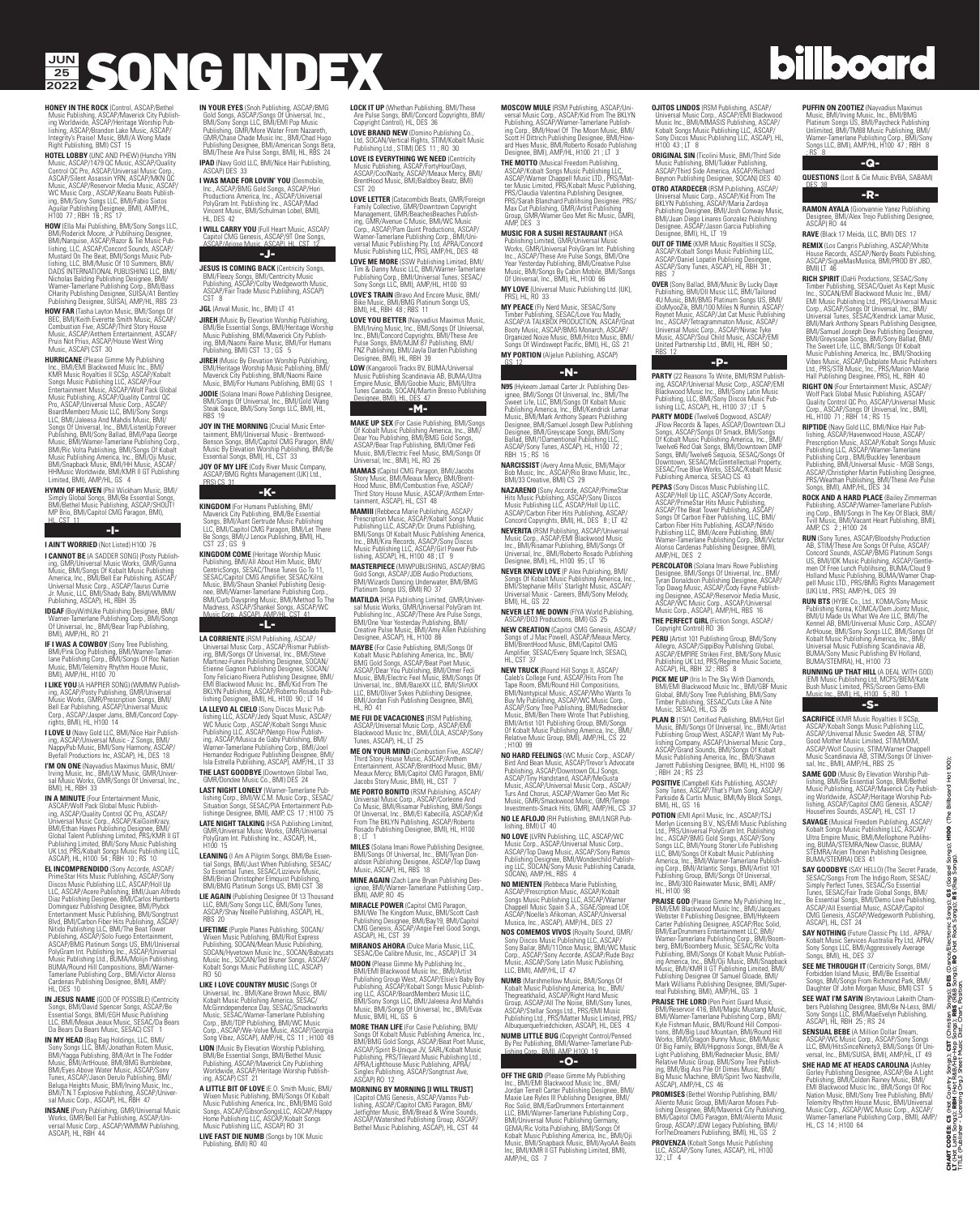### **SONG INDEX 25 2022**

**HONEY IN THE ROCK** (Control, ASCAP/Bethel Music Publishing, ASCAP/Meverick City Publishing<br>ing Worldwide, ASCAP/Heritage Worship Publishing<br>ishing, ASCAP/Berndon Lake Music, ASCAP/<br>Integrity's Praise! Music, PM/A Wong Mad

**HOTEL LOBBY** (UNC AND PHEW) (Huncho YRN Music, ASCAP/1479 QC Music, ASCAP/Quality<br>Control OC Pro, ASCAP/Universal Music Corp.<br>ASCAP/Silent Assassin YRN, ASCAP/MKN QC<br>Music, ASCAP/Reservoir Media Music, ASCAP/MKN<br>WC Music Corp., ASCAP/Keanu Beats Publish-<br>ing, BM

**HOW** (Ella Mai Publishing, BMI/Sony Songs LLC,<br>
BMI/Noderick Moore, Jr Publishing Designee,<br>
EMI/Noderick Moore, Jr Publishing, LLC, ASCAP/Pazzor & Tie Music Publishing, LLC, ASCAP/Concord Sounds, ASCAP/<br>
Mustard On The B

**HOW FAR** (Tasha Layton Music, BMI/Songs Of BEC, BMI/Keith Everette Smith Music, ASCAP/<br>Combustion Five, ASCAP/Third Story House<br>Music, ASCAP/Anthem Entertainment, ASCAP/<br>Music, ASCAP/Anthem Entertainment, ASCAP/<br>Pruis Not

**HURRICANE** (Please Girme My Publishing<br> **HURRICANE** (Please Girme My Publishing<br>
Inc., BM/, KMR Music Royalties II SCSp, ASCAP/Kobalt<br>
Songs Music Publishing LLC, ASCAP/Four<br>
Entertrainment Music, ASCAP/Quality Conto 10 C

**HYMN OF HEAVEN** (Phil Wickham Music, BMI/ Simply Global Songs, BMI/Be Essential Songs, BMI/Bethel Music Publishing, ASCAP/SHOUT! MP Brio, BMI/Capitol CMG Paragon, BMI), HL, CST 11

-I-

**I AIN'T WORRIED** (Not Listed) H100 76

I CANNOT BE (A SADDER SONG) (Posty Publish-<br>ing, GMR/Universal Music Works, GMR/Gunna<br>Music, BMI/Songs Of Kobalt Music Publishing<br>America, Inc., BMI/Bell Ear Publishing<br>Juniversal Music Corp., ASCAP/Taurus Curre<br>Jr. Music,

**IDGAF** (BoyWithUke Publishing Designee, BMI/ Warner-Tamerlane Publishing Corp., BMI/Songs Of Universal, Inc., BMI/Bear Trap Publishing, BMI), AMP/HL, RO 21

**IF I WAS A COWBOY** (Sony Tree Publishing, BMI/Pink Dog Publishing, BMI/Warner-Tamer-<br>
Iane Publishing Corp., BMI/Songs Of Roc Nation<br>
Music, BMI/Telemitry Rhythm House Music,<br>
BMI), AMP/HL, H100 70

**I LIKE YOU** (A HAPPIER SONG) (WMMW Publishing, ASCAP/Posty Publishing, GMR/Universal<br>Music Works, GMR/Prescription Songs, BMI/<br>Bell Ear Publishing, ASCAP/Universal Music<br>Corp., ASCAP/Universal Music<br>Corp., ASCAP/Universal

**I LOVE U** (Navy Gold LLC, BMI/Nice Hair Publishing, ASCAP/Universal Music - Z Songs, BMI/<br>NappyPub Music, BMI/Sony Harmony, ASCAP/<br>Byefall Productions Inc, ASCAP), HL, DES 18

**I'M ON ONE** (Nayvadius Maximus Music, BMI/<br>Irving Music, Inc., BMI/LW Music, GMR/Univer-<br>sal Music Works, GMR/Songs Of Universal, Inc.,<br>BMI), HL, RBH 33

**IN A MINUTE** (Four Entertainment Music,<br>ASCAP/Wolf Pack Global Music Publish-<br>ing, ASCAP/Quality Control QC Pro, ASCAP/<br>Universal Music Corp., ASCAP/KaiGoinKrazy,<br>BMI/Ethan Hayes Publishing Designee, BMI/<br>Global Talent Pu

EL INCOMPRENDIDO (Sony Accorde, ASCAP/<br>
PrimeStar Hits Music Publishing, ASCAP/Sony<br>
Discos Music Publishing LLC, ASCAP/Holl Up<br>
LLC, ASCAP/Acere Publishing, BM/(Zarlos Humberto<br>
Disc Publishing Designee, BM/(Zarlos Humber

**IN JESUS NAME** (GOD OF POSSIBLE) (Centricity Songs, BMI/David Spencer Songs, ASCAP/Be<br>Essential Songs, BMI/EGH Music Publishing<br>LLC, BMI/Meaux Jeaux Music, SESAC/Da Bears<br>Da Bears Da Bears Music, SESAC) CST 1

**IN MY HEAD** (Bag Bag Holdings, LLC, BMI/<br>Sony Songs LLC, BMI/Jonathan Rotem Music,<br>BMI/I/Yagga Publishing, BMI/Art In The Fodder<br>Music, BMI/ArtHouse, BMI/BMG Bumblebee,<br>BMI/I/Eyes Above Water Music, ASCAP/Sony<br>Times, ASCA

**INSANE** (Posty Publishing, GMR/Universal Music Works, GMR/Bell Ear Publishing, ASCAP/Uni-<br>Works, GMR/Bell Ear Publishing, ASCAP/Uni-<br>versal Music Corp., ASCAP/WMMW Publishing,<br>ASCAP), HL, RBH 44

IN VOUR EVES (Snoh Publishing, ASCAP/BMG<br>
Gold Songs, ASCAP/Songs Of Universal, Inc.,<br>
BMI/Sony Songs LLC, BMI/EMI Pop Music<br>
Publishing, GMR/More Water From Nazareth,<br>
Publishing, GMR/More Water From Nazareth,<br>
GMR/Chase **IPAD** (Navy Gold LLC, BMI/Nice Hair Publishing, ASCAP) DES 33

**I WAS MADE FOR LOVIN' YOU** (Desmobile, Inc., ASCAP/Hori Productions America, Inc., ASCAP/Hori Productions America, Inc., ASCAP/Mad Vincent Music, BMI/Schulman Lobel, BMI), Vincent Music, BMI/Schulman Lobel, BMI),

**I WILL CARRY YOU** (Full Heart Music, ASCAP/<br>Capitol CMG Genesis, ASCAP/9T One Songs,<br>\_ASCAP/Ariose Music, ASCAP), HL, CST\_12

-J-

**JESUS IS COMING BACK** (Centricity Songs, BMI/Fleezy Songs, BMI/Centricity Music<br>
Publishing, ASCAP/Colby Wedgeworth Music,<br>
ASCAP/Fair Trade Music Publishing, ASCAP) CST<sub>8</sub>

**JGL** (Anval Music, Inc., BMI) LT 41

**JIREH** (Music By Elevation Worship Publishing, BMI/Be Essential Songs, BMI/Heritage Worship Music City Publish-<br>Music Publishing, BMI/Maomi Raine Music, BMI/Naomi Raine Music, BC City Publish-<br>Publishing, BMI) CST 13 ; GS

**JIREH** (Music By Elevation Worship Publishing, BMI/Heritage Worship Music Publishing, BMI/ Maverick City Publishing, BMI/Naomi Raine Music, BMI/For Humans Publishing, BMI) GS 1

**JODIE** (Solana Imani Rowe Publishing Designee, BMI/Songs Of Universal, Inc., BMI/Gold Wang Steak Sauce, BMI/Sony Songs LLC, BMI), HL, RBS 19

**JOY IN THE MORNING** (Crucial Music Enter-<br>tainment, BMI/Universal Music - Brentwood-<br>Benson Songs, BMI/Capitol CMG Paragon, BMI/<br>Music By Elevation Worship Publishing, BMI/Be<br>Essential Songs, BMI), HL, CST 33

**JOY OF MY LIFE** (Cody River Music Company,<br>ASCAP/BMG Rights Management (UK) Ltd.,<br>PRS) CS 31<br>-K-

**KINGDOM** (For Humans Publishing, BMI/<br>Maverick City Publishing, BMI/Be Essential<br>Songs, BMI/Aunt Gertrude Music Publishing<br>LLC, BMI/Capitol CMG Paragon, BMI/Let There<br>Be Songs, BMI/J Lenox Publishing, BMII, HL,<br>CST 23 ; G

**KINGDOM COME** (Heritage Worship Music<br>Publishing, BM/All About Him Music, BMI/<br>CentricSongs, SESAC/These Tunes Go To 11,<br>SESAC/Capitol CMG Amplifier, SESAC/Kins<br>Music, BM/S/Staun Shankel Publishing Desig-<br>Music, BM/A/Stau

-L-

**LA CORRIENTE** (RSM Publishing, ASCAP/<br>Universal Music Corp., ASCAP/Rismar Publishing, BMI/Songs Of Universal, Inc., BMI/Steve<br>Martinez-Funes Publishing Designee, SOCAN/<br>Metrinez-Funes Publishing Designee, SOCAN/<br>Etienne G

LA LLEVO AL CIELO (Sony Discos Music Pub-<br>
lishing LLC, ASCAP/Jedy Squat Music, ASCAP/<br>
VC Music Corp., ASCAP/Kobalt Songs Music<br>
Publishing LLC, ASCAP/Mengo Flow Publishing.<br>
ing, ASCAP/Musica de Gaby Publishing, BMI/<br>
Vi **THE LAST GOODBYE** (Downtown Global Two, GMR/Dondee Music Co., BMI) DES 24

LAST NIGHT LONELY (Warner-Tamerlane Pub-<br>
lishing Corp., BMI/W.C.M. Music Corp., SESAC/<br>
Situation Songs, SESAC/PIA Entertainment Pub-<br>
lishinge Designee, BMI), AMP, CS 17 ; H100 75

**LATE NIGHT TALKING** (HSA Publishing Limited, GMR/Universal Music Works, GMR/Universal PolyGram Int. Publishing Inc., ASCAP), HL, H100 15

**LEANING** (I Am A Pilgrim Songs, BMI/Be Essen-<br>tial Songs, BMI/Just When Publishing, SESAC/<br>So Essential Tunes, SESAC/Lizzieviv Music,<br>BMI/Brian Christopher Elmquist Publishing,<br>BMI/BMG Platinum Songs US, BMI) CST 38

**LIE AGAIN** (Publishing Designee Of 13 Thousand LLC, BMI/Sony Songs LLC, BMI/Sony Tunes, ASCAP/Shay Noelle Publishing, ASCAP), HL, RBS 20

**LIFETIME** (Purple Planes Publishing, SOCAN/<br>Wixen Music Publishing, BM/Riot Express<br>Publishing, SOCAN/Mean Music Publishing,<br>SOCAN/Hyvetown Music Inc., SOCAN/Baby<br>Music Inc., SOCAN/Ted Bruner Songs, ASCAP/<br>Kobalt Songs Mu

**LIKE I LOVE COUNTRY MUSIC** (Songs Of<br>Universal, Inc., BMI/Xane Brown Music, BMI/<br>Kobalt Music Publishing America, SESAC/<br>MoGinndependence Day, SESAC/Smackworks<br>Music, SESAC/Warner-Tamerlane Publishing<br>Corp., BMI/TDP Publi

**LION** (Music By Elevation Worship Publishing, BMI/Be Essential Songs, BMI/Bethel Music Publishing, ASCAP/Maverick City Publishing Worldwide, ASCAP/Heritage Worship Publish-ing, ASCAP) CST 21

**A LITTLE BIT OF LOVE** (E.O. Smith Music, BMI/ Wixen Music Publishing, BMI/Songs Of Kobalt<br>Music Publishing America, Inc., BMI/BMG Gold<br>Songs, ASCAP/GibsonSongsLLC, ASCAP/Kobalt<br>Home Publishing LLC, ASCAP/Kobalt Songs<br>Music Publishing LLC, ASCAP) RO 31

**LIVE FAST DIE NUMB** (Songs by 10K Music Publishing, BMI) RO 40

**LOCK IT UP** (Whethan Publishing, BMI/These Are Pulse Songs, BMI/Concord Copyrights, BMI/ Copyright Control), HL, DES 36

**LOVE BRAND NEW** (Domino Publishing Co., Ltd, SOCAN/Vertical Rights, STIM/Kobalt Music Publishing Ltd., STIM) DES 11 ; RO 30

**LOVE IS EVERYTHING WE NEED** (Centricity Music Publishing, ASCAP/FortyHourDays, ASCAP/CoolNasty, ASCAP/Meaux Mercy, BMI/ BrentHood Music, BMI/Baldboy Beatz, BMI) CST 20

LOVE LETTER (Catacombids Beats, GMR/Foreign<br>Family Collective, GMR/Downtown Copyright<br>Management, GMR/BeachesBeaches Publish-<br>ing, GMR/Avenue C Music, BMI/WC Music<br>Corp., ASCAP/Pam Quint Productions, ASCAP/<br>Warner-Tamerlan LOVE ME MORE (SSW Publishing Limited, BMI/<br>Tim & Danny Music LLC, BMI/Warner-Tamerlane<br>Publishing Corp., BMI/Universal Tunes, SESAC/<br>Sony Songs LLC, BMII), AMP/HL, H100 93

**LOVE'S TRAIN** (Bravo And Encore Music, BMI/ Bike Music, BMI/BMG Platinum Songs US, BMI), HL, RBH 48 ; RBS 11

**LOVE YOU BETTER** (Nayvadius Maximus Music, BMI/Ivning Music, Inc., BMI/Concord Copyrights, BMI/These Are<br>
Inc., BMI/Concord Copyrights, BMI/These Are<br>
Pulse Songs, BMI/MJM 87 Publishing, BMI/<br>
FNZ Publishing, BMI/Jayla Da

**LOW** (Kangarooli Tracks BV, BUMA/Universal Music Publishing Scandinavia AB, BUMA/Ultra Empire Music, BMI/Goobie Muzic, BMI/Ultra Tunes Canada, SOCAN/Martin Bresso Publishing

### Designee, BMI), HL, DES 47<br>-M-

**MAKE UP SEX** (For Casie Publishing, BMI/Songs<br>Of Kobalt Music Publishing, America, Inc., BMI/<br>Dear You Publishing, BMI/BMG Gold Songs,<br>ASCAP/Bear Trap Publishing, BMI/Omer Fedi<br>Music, BMI/Slectric Feel Music, BMI/Songs Of

**MAMAS** (Capitol CMG Paragon, BMI/Jacobs Story Music, BMI/Meaux Mercy, BMI/Brent-Hood Music, BMI/Combustion Five, ASCAP/ Third Story House Music, ASCAP/Anthem Enter-tainment, ASCAP), HL, CST 48

**MAMIII**II (Rebbeca Marie Publishing, ASCAP/<br>Prescription Music, ASCAP/Kobalt Songs Music<br>Publishing LLC, ASCAP/Dr. Drums Publishing,<br>BMI/Songs Of Kobalt Music Publishing America,<br>Inc., BMI/Kira Records, ASACP/Sony Discos<br>

**MASTERPIECE** (MIWPUBLISHING, ASCAP/BMG Gold Songs, ASCAP/JDB Audio Productions, BMI/Wizards Dancing Underwater, BMI/BMG Platinum Songs US, BMI) RO 37

**MATILDA** (HSA Publishing Limited, GMR/Universal Music Works, GMR/Universal PolyGram Int.<br>Publishing Inc., ASCAP/These Are Pulse Songs,<br>BMI/One Year Yesterday Publishing, BMI/<br>Creative Pulse Music, BMI/Amy Allen Publishing

**MAYBE** (For Casie Publishing, BMI/Songs Of<br>Kobalt Music Publishing America, Inc., BMI/<br>BMG Gold Songs, ASCAP/Beat Poet Music,<br>ASCAP/Dear You Publishing, BMI/Omer Fedi<br>Music, BMI/Fletcric Feel Music, BMI/Songs Of<br>Universal

**ME FUI DE VACACIONES** (RSM Publishing,<br>ASCAP/Universal Music Corp., ASCAP/EMI<br>Blackwood Music Inc., BMI/LOLA, ASCAP/Sony<br>Tunes, ASCAP), HL, LT 25

**ME ON YOUR MIND** (Combustion Five, ASCAP/<br>
Third Story House Music, ASCAP/Anthem<br>
Entertainment, ASCAP/BrentHood Music, BMI/<br>
Meaux Mercy, BMI/Capitol CMG Paragon, BMI/<br>
Jacobs Story Music, BMI), HL, CST 7

**ME PORTO BONITO** (RSM Publishing, ASCAP/ Universal Music Corp., ASCAP/Corleone And<br>Co Music, BMI/Risamar Publishing, BMI/Songs<br>Of Universal, Inc., BMI/El Kabecilla, ASCAP/Kid<br>From The BKLYN Publishing, ASCAP/Roberto<br>Rosado Publishing Designee, BMI), HL, H100  $8:1T<sub>1</sub>$ 

**MILES** (Solana Imani Rowe Publishing Designee, BMI/Songs Of Universal, Inc., BMI/Tyran Don-aldson Publishing Designee, ASCAP/Top Dawg Music, ASCAP), HL, RBS 18

**MINE AGAIN** (Zach Lane Bryan Publishing Des- ignee, BMI/Warner-Tamerlane Publishing Corp., BMI), AMP, RO 45

**MIRACLE POWER** (Capitol CMG Paragon BMI/We The Kingdom Music, BMI/Scott Cash Publishing Designee, BMI/Bay19, BMI/Capitol CMG Genesis, ASCAP/Angie Feel Good Songs, ASCAP), HL, CST 39

**MIRANOS AHORA** (Dulce Maria Music, LLC, SESAC/De Calibre Music, Inc., ASCAP) LT 34

**MOON** (Please Gimme My Publishing Inc.,<br>
BMI/EMI Blackwood Music Inc., BMI/Arkist<br>
Publishing Group West, ASCAP/Elsie's Baby Boy<br>
Publishing, ASCAP/Kobalt Songs Music Publish-<br>
ing LLC, ASCAP/BoardMemberz Music LLC,<br>
BMI/

**MORE THAN LIFE** (For Casie Publishing, BMI/ Songs Of Kobalt Music Publishing America, Inc.,<br>BMI/BMG Gold Songs, ASCAP/Beat Poet Music,<br>ASCAP/Spirit B-Unique JV, SARL/Kobalt Music<br>Publishing, PRS/Tleyard Music Publishing, APRA/Lighthouse Music Publishing, APRA/<br>SCAP(

**MORNING BY MORNING [I WILL TRUST]**<br>(Capitol CMG Genesis, ASCAP/Vamos Pub-<br>lishing, ASCAP/Capitol CMG Paragon, BMI/<br>Jetfighter Music, BMI/Bread & Wine Sounds,<br>ASCAP/Watershed Publishing, Group, ASCAP/R<br>Bethel Music Publish

**MOSCOW MULE** (RSM Publishing, ASCAP/Uni- versal Music Corp., ASCAP/Kid From The BKLYN Publishing, ASCAP/Warner-Tamerlane Publish- ing Corp., BMI/Howl Of The Moon Music, BMI/ Scott H Dittrich Publishing Designee, BMI/How-<br>ard Hues Music, BMI/Roberto Rosado Publishing<br>Designee, BMI), AMP/HL, H100 21 ; LT 3

**THE MOTTO** (Musical Freedom Publishing, ASCAP/Kobalt Songs Music Publishing LLC,<br>ASCAP/Kobalt Songs Music Publishing LLC,<br>ASCAP/Warner Chappell Music LTD, PRS/Mat-<br>ter Music Limited, PRS/Kobalt Music Publishing,<br>PRS/Caudi

**MUSIC FOR A SUSHI RESTAURANT (**HSA<br>Publishing Limited, GMR/Universal Music<br>Works, GMR/Universal PolyGram Int. Publishing<br>Inc., ASCAP/These Are Pulse Songs, BM//Ore<br>Year Yesterday Publishing, BM//Creative Pulse<br>Music, BM//

**MY LOVE** (Universal Music Publishing Ltd. (UK), PRS), HL, RO 33

**MY PEACE** (Fly Nerd Music, SESAC/Sony<br>Timber Publishing, SESAC/Love You Madly,<br>ASCAP/A TALKBOX PRODUCTION, ASCAP/Gnat<br>Booty Music, ASCAP/BMG Monarch, ASCAP/<br>Organized Noize Music, BM/I/Hitco Music, BM/I<br>Songs Of Windswept **MY PORTION** (Aljelun Publishing, ASCAP)

#### $-N-$

**N95** (Hykeem Jamaal Carter Jr. Publishing Des-<br>
ignee, BM/Songs Of Universal, Inc., BM/The<br>
Sweet Life, LLC, BM/Songs Of Kobalt Music<br>
Publishing America, Inc., BM/(Xendrick Lamar<br>
Publishing Music, BM/Mardick Lamar<br>
Desi

**NARCISSIST** (Avery Anna Music, BMI/Major Bob Music, Inc., ASCAP/Rio Bravo Music, Inc., BMI/33 Creative, BMI) CS 29

**NAZARENO** (Sony Accorde, ASCAP/PrimeStar Hits Music Publishing, ASCAP/Sony Discos<br>Music Publishing LLC, ASCAP/Holl Up LLC,<br>ASCAP/Carbon Fiber Hits Publishing, ASCAP/<br>Concord Copyrights, BMI), HL, DES 8; LT 42

**NEVERITA** (RSM Publishing, ASCAP/Universal<br>
Music Corp., ASCAP/EMI Blackwood Music<br>
Inc., BMI/Risamar Publishing, BMI/Songs Of<br>
Universal, Inc., BMI/Roberto Rosado Publishing<br>
Designee, BMI), HL, H100 95 ; LT 16

**NEVER KNEW LOVE** (P Alex Publishing, BMI/<br>
Songs Of Kobalt Music Publishing America, Inc.,<br>
BMI/Stephanie Mills' Starlight Music, ASCAP/<br>
Universal Music - Careers, BMI/Sony Melody,<br>
BMI), HL, GS 22

**NEVER LET ME DOWN** (FIYA World Publishing, ASCAP/DO3 Productions, BMI) GS 25

**NEW CREATION** (Capitol CMG Genesis, ASCAP)<br>
Songs of J Mac Powell, ASCAP/Meaux Mercy,<br>
BMI/BrentHood Music, BMI/Capitol CMG<br>
Amplifier, SESAC/Every Square Inch, SESAC),<br>
HL, CST 37 **NEW TRUCK** (Round Hill Songs II, ASCAP/<br>Caleb's College Fund, ASCAP/Hits From The<br>Tape Room, BMI/Round Hill Compositions,<br>BMI/Nontypical Music, ASCAP/Who Wants To<br>Buy My Publishing, ASCAP/WC Music Corp.,<br>ASCAP/Sony Tree P

**NO HARD FEELINGS** (WC Music Corp., ASCAP/ Bird And Bean Music, ASCAP/Trevor's Advocate<br>Publishing, ASCAP/Downtown DLJ Songs,<br>ASCAP/Tiny Handstand, ASCAP/MeGusta<br>ASCAP/Tiny Handstand, ASCAP/MeGusta<br>Music, ASCAP/Universal Music Corp., ASCAP/Tins<br>Turs And Chonus, ASC

**NO LE AFLOJO** (RH Publishing, BMI/LNGR Pub- lishing, BMI) LT 40

**NO LOVE** (LVRN Publishing, LLC, ASCAP/WC<br>Music Corp., ASCAP/Universal Music Corp.,<br>ASCAP/Top Davg Music, ASCAP/Sony Ramos<br>Publishing Designee, BMI/Wonderchild Publishing<br>ing LLC, SOCAN/Sony Music Publishing Canada,<br>SOCAN)

**NO MIENTEN** (Rebbeca Marie Publishing, ASCAP/Prescription Music, ASCAP/Kobalt<br>Songs Music Publishing LLC, ASCAP/Kobalt<br>Chappell Music Spain S.A., SGAE/Spread LOF,<br>ASCAP/Noelle's Afikoman, ASCAP/Universal<br>Musica, Inc., ASC

**NOS COMEMOS VIVOS** (Royalty Sound, GMR/<br>Sony Discos Music Publishing LLC, ASCAP/<br>Sony Bailar, BMI/110nce Music, BMI/WC Music<br>Corp., ASCAP/Sony Accorde, ASCAP/Rude Boyz<br>Music, ASCAP/Sony Latin Music Publishing,<br>MUSIC, ASCA

NUMB (Marshmellow Music, BMV,Songs Of<br>Kobalt Music Publishing America, Inc., BM/<br>Thegreatkhalid, ASCAP/Right Hand Music<br>Group, ASCAP/All The Noise, BM//Sony Tunes,<br>ASCAP/Stellar Songs Ltd., PRS/EMI Music<br>Publishing Ltd., P

# **NUMB LITTLE BUG** (Copyright Control/Penned By Pez Publishing, BMI/Warner-Tamerlane Pub- lishing Corp., BMI), AMP, H100 19

#### -O-

**OFF THE GRID** (Please Gimme My Publishing<br>
Dr., BM//EMI Blackwood Music Inc., BM//<br>
Jordan Terrell Carter Publishing Designee, BMI/<br>
Maxie Lee Ryles III Publishing Designee, BMI/<br>
Maxie Lee Ryles III Publishing Designee,

**OJITOS LINDOS** (RSM Publishing, ASCAP/<br>Universal Music Corp., ASCAP/EMI Blackwood<br>Music Inc., BMI/MMASIS Publishing, ASCAP/<br>Kobalt Songs Music Publishing LLC, ASCAP/<br>Sony Discos Music Publishing LLC, ASCAP), HL,<br>H100 43 ;

**PUFFIN ON ZOOTIEZ** (Nayvadius Maximus M<br>
Music, BMI/Invig Music, Inc., BMI/BMG<br>
Platinum Songs US, BMI/Paycheck Publishing<br>
Unlimited, BMI/TM88 Music Publishing, BMI/<br>
Unimited, BMI/TM88 Music Publishing Corp., BMI/Sony<br>

**billboard** 

-Q-**QUESTIONS** (Lost & Cie Music BVBA, SABAM)

-R-**RAMON AYALA** (Gionvannie Yanez Publishing Designee, BMI/Alex Trejo Publishing Designee,

**REMIX** (Los Cangris Publishing, ASCAP/White House Records, ASCAP/Nerdy Beats Publishing, ASCAP/SigueMasMusica, BMI/PROD BY JBD, BMI) LT 46

**RICH SPIRIT** (Dati Productions, SESAC/Sony<br>
Timber Publishing, SESAC/Quiet As Kept Music<br>
Inc., SOCAN/EMI Blackwood Music Inc., BMI/<br>
EMI Music Publishing Ltd., PRS/Linkversal Music<br>
Corp., ASCAP/Songs Of Universal, Inc.,

**RIGHT ON** (Four Entertainment Music, ASCAP/<br>
Wolf Pack Global Music Publishing, ASCAP/<br>
Quality Control QC Pro, ASCAP/Songs Of Universal, Inc., BMI),<br>
Corp., ASCAP/Songs Of Universal, Inc., BMI),<br>
HL, H100 71; RBH 14; RS

**RIPTIDE** (Navy Gold LLC, BMI/Nice Hair Pub-<br>lishing, ASCAP/Havenwood House, ASCAP/<br>Prescription Music, ASCAP/Kobalt Songs Music<br>Publishing LLC, ASCAP/Warner-Tamerlane<br>Publishing Corp., BMI/Buckley Tenenbaum<br>Publishing, DM

**ROCK AND A HARD PLACE** (Bailey Zimmerman Publishing, ASCAP/Warner-Tamerlane Publish-<br>ing Corp., BMI/Songs In The Key Of Black, BMI/<br>Tvill Music, BMI/Vacant Heart Publishing, BMI),<br>AMP, CS 2; H100 24

**RUN** (Sony Tunes, ASCAP/Bloodshy Production<br>AB, STIM/These Are Songs Of Pulse, ASCAP/<br>Concord Sounds, ASCAP/BMG Platinum Songs<br>US, BMI/IDK Music Publishing, ASCAP/Gentie<br>men Of Free Lunch Publishing, BUMA/Cloud 9<br>Holland

**RUN BTS** (HYBE Co., Ltd., KOMA/Sony Music.<br>Publishing Korea, KOMCA/Dem Jointz Music.<br>BMI/U Made Us What We Are LLC, BMI/The<br>Kennel AB, BMI/Universal Music Corp., ASCAP/<br>ArtHouse, BMI/Sony Songs LLC, BMI/Songs Of<br>Kobalt Mu

**RUNNING UP THAT HILL** (A DEAL WITH GOD)<br>(EMI Music Publishing Ltd, MCPS/BIEM/Kate<br>Bush Music Limited, PRS/Screen Gems-EMI<br><u>Music Inc., BMI), HL, H100 5</u> ; RO 1

**SACRIFICE** (KIMR Music Royalties II SCSp,<br>ASCAP/Kobalt Songs Music Publishing LLC,<br>ASCAP/Universal Music Sweden AB, STIM/<br>Good Mother Music Limited, STIM/MXM,<br>ASCAP/Wolf Cousins, STIM/Warner Chappell<br>Music Scandinavia AB,

**SAME GOD** (Music By Elevation Worship Pub-<br>lishing, BM//Be Essential Songs, BM//Bethel<br>Music Publishing, ASCAP/Maverick City Publish-<br>ing Worldwide, ASCAP/Heritage Worship Pub-<br>lishing, ASCAP/Capitol CMG Genesis, ASCAP/<br>H

**SAVAGE** (Musical Freedom Publishing, ASCAP)<br>Kobalt Songs Music Publishing LLC, ASCAP)<br>Ultra Empire Music, BMI/Mellophone Publihs-<br>ing, BUMA/STEMRA/New Classic, BUMA/<br>STEMRA/Arjen Thonen Publishing Designee,<br>BUMA/STEMRA) D

**SAY GOODBYE** (SAY HELLO) (The Secret Parade,<br>SESAC/Songs From The Indigo Room, SESAC/Songs<br>Comply Perfect Tunes, SESAC/So Essential<br>Unues, SESAC/Fair Trade Global Songs, BM/<br>De Essential Songs, BMI/Demo Love Publishing,<br>A

**SAY NOTHING** (Future Classic Pty. Ltd., APRA/ Kobalt Music Services Australia Pty Ltd, APRA/ Sony Songs LLC, BMI/Aggressively Average Songs, BMI), HL, DES 37

**SEE ME THROUGH IT** (Centricity Songs, BMI/<br>Forbidden Island Music, BMI/Be Essential<br>Songs, BMI/Songs From Richmond Park, BMI/<br>Daughter Of John Morgan Music, BMI) CST 5

**SEE WAT I'M SAYIN** (Brytavious Lakeith Cham-<br>bers Publishing Designee, BMI/Be N-Less, BMI/<br>Sony Songs LLC, BMI/MaeEvelyn Publishing,<br>ASCAP), HL, RBH 25 ; RS 24 **SENSUAL BEBE** (A Million Dollar Dream, ASCAP/WC Music Corp., ASCAP/Sony Songs LLC, BMI/HitsSinceNinety3, BMI/Songs Of Uni-versal, Inc., BMI/SUISA, BMI), AMP/HL, LT 49

**SHE HAD ME AT HEADS CAROLINA** (Ashley<br>Gorley Publishing Designee, ASCAP/Be A Light<br>Publishing, BMI/Colden Rainey Music, BMI/<br>EMI Blackwood Music Inc., BMI/Songs Of Roc<br>Mation Music, BMI/Sony Tree Publishing, BMI/<br>Telemitr

-S-

**RAVE** (Black 17 Meida, LLC, BMI) DES 17

DES 38

Designee, BMI/.<br>ASCAP) RO 44

**ORIGINAL SIN** (Ticolini Music, BMI/Third Side Music Publishing, BMI/Tukker Publishing,<br>ASCAP/Third Side America, ASCAP/Richard<br>Beynon Publishing Designee, SOCAN) DES 40<br>Beynon Publishing Designee, SOCAN) DES 40 **OTRO ATABDECER** (FISM Publishing, ASCAP/<br>Universal Music Corp., ASCAP/Kid From The<br>BKLYN Publishing, ASCAP/Maria Zardoya<br>Publishing Designee, BMI/Joan Conway Music,<br>BMI/Juan Diego Linares Gonzalez Publishing<br>Designee, ASC

**OUT OF TIME** (KMR Music Royalties II SCSp, ASCAP/Kobalt Songs Music Publishing LLC,<br>ASCAP/Daniel Lopatin Publising Desingee,<br>ASCAP/Sony Tunes, ASCAP), HL, RBH 31 ; RBS 7

**OVER** (Sony Ballad, BMI/Music By Lucky Daye<br>Publishing, BMI/DII Music LLC, BMI/Tailored<br>4U Music, BMI/PMG Platinum Songs US, BMI/<br>iDoMyozZik, BMI/TOD Miles N Runnin, ASCAP/<br>From Rouge State Represent Review By Represent M  $-$ P- $-$ 

**PARTY** (22 Reasons To Write, BMI/RSM Publishing, ASCAP/Universal Music Corp., ASCAP/EMI<br>Blackwood Music Inc., BMI/Sony Latin Music<br>Publishing, LLC, BMI/Sony Discos Music Pub-<br>Iishing LLC, ASCAP), HL, H100 37 ; LT 5

**PARTY MODE** (Twelve6 Dogwood, ASCAP/<br>JFlow Records & Tapes, ASCAP/Downtown DLJ<br>Songs, ASCAP/Songs Of Smack, BMI/Songs<br>Of Kobalt Music Publishing America, Inc., BMI/<br>Twelve6 Red Oak Songs, BMI/Downtown DMP<br>Songs, BMI/Twelv

**PEPAS** (Sony Discos Music Publishing LLC,<br>ASCAP/PrimeStar Hits Music Publishing,<br>ASCAP/PrimeStar Hits Music Publishing,<br>ASCAP/PrimeStar Hits Music Publishing, ASCAP/A<br>Songs Of Carbon Fiber Publishing, LLC, BMI/<br>Carbon Fib

**PERCOLATOR** (Solana Imani Rowe Publishing<br>Designee, BMI/Songs Of Universal, Inc., BMI/<br>Tyran Donaldson Publishing Designee, ASCAP/<br>For Davy Music, ASCAP/Cody Payre Publish-<br>ing Designee, ASCAP/Reservoir Media Music,<br>ASCAP

**THE PERFECT GIRL** (Fiction Songs, ASCAP/ Copyright Control) RO 36

**PERU** (Artist 101 Publishing Group, BMI/Sony<br>Allegro, ASCAP/SippiBoy Publishing Global,<br>ASCAP/EMPIRE Strikes First, BMI/Sony Music<br>Publishing UK Ltd, PRS/Regime Music Societe,<br>ASCAP), HL, RBH 32; RBS 8 **PICK MF UP** (Iris In The Sky With Diamond BMI/EMI Blackwood Music Inc., BMI/GBF Music Global, BMI/Sony Tree Publishing, BMI/Sony Timber Publishing, SESAC/Cuts Like A Nite Music, SESAC), HL, CS 26

**PLAN B** (1501 Certified Publishing, BM//Hot Girl<br>Music, BM/Songs Of Universal, Inc., BM/Artist<br>Publishing Group West, ASCAP/I Want My Publishing Company, ASCAP/I Want My Publishing Company, ASCAP/Inversal Music Corp.,<br>ASC

**POSITIVE** (Campbell Kids Publishing, ASCAP/<br>Sony Tunes, ASCAP/That's Plum Song, ASCAP/<br>Parkside & Curtis Music, BMI/My Block Songs,<br>BMI), HL, GS 16

**POTION** (EMI April Music, Inc., ASCAP/TSJ<br>
Merlyn Licensing B.V., NS/EMI Music Publishing<br>
Ltd., PRS/Universal PolyGram Int. Publishing<br>
Inc., ASCAP/BMG Gold Songs, ASCAP/Sony<br>
Songs LLC, BMI/Young Stoner Life Publishing<br>

**PRAISE GOD** (Please Girmen My Publishing Inc., PMI)<br> **BMI/FMI Blackwood Music Inc., BMI/Jacques**<br>
Webster II Publishing Designee, BMI/Hykeem<br>
Carter Publishing Designee, ASCAP/Roc Solid<br>
BMI/FarDrummers Entertainment LLC,

Publishing, BMI/Songs Of Kobalt Music Publish-<br>ing America, Inc., BMI/Oji Music, BMI/Snapback<br>Music, BMI/KMR II GT Publishing Limited, BMI/<br>Publishing Designee Of Samuel Gloade, BMI/<br>Mark Williams Publishing Designee, BMI/

**PRAISE THE LORD** (Pen Point Guard Music, BMI/Reservoir 416, BMI/Magic Mustang Music, BMI/Warner-Tamerlane Publishing Corp., BMI/Figure The Music, BMI/Round Hill Compositions, BMI/Rigi Loud Mountain, BMI/Round Hill Composi

**PROMISES** (Bethel Worship Publishing, BMI/<br>Aliento Music Group, BMI/Aaron Moses Pub-<br>lishing Designee, BMI/Maverick City Publishing,<br>BMI/Capitol CMG Paragon, BMI/Aliento Music<br>Group, ASCAP/JDW Legacy Publishing, BMI/, HL,

**PROVENZA** (Kobalt Songs Music Publishing LLC, ASCAP/Sony Tunes, ASCAP), HL, H100

32 ; LT 4

**CHART CODES: CS** (Hot Country Songs); **CST** (Christian Songs); **DES** (Dance/Electronic Songs); **GS** (Gospel Songs); **H100** (The Billboard Hot 100);

 $\overline{0}$ 

(The Billboard Hot

OOH

(Gospel Songs)<br>Rap Songs)

 $rac{65}{80}$ Songs);<br>Songs); tronic<br>Rock ance/Elect<br>**RO** (Hot F ; DES (Dan<br>3 Songs); Ry<br>ion.

**LT** (Hot Latin Songs); **RBH** (Hot R&B/Hip-Hop Songs); **RBS** (R&B Songs); **RO** (Hot Rock Songs); **RS** (Rap Songs).

tian Songs); **L**<br>); **RBS** (R&B S<br>Chart, Positio Christia<br>Songs);<br>Dist.  $\frac{5}{25}$ y Songs);<br>R&B/Hip-H<br>.) Sheet M

TITLE (Publisher - Licensing Org.) Sheet Music Dist., Chart, Position.

Hot Country<br>: RBH (Hot R<br>:ensing Org.) a CS (Hc<br>ongs); R<br>r - Licen

CHART CODES: C<br>LT (Hot Latin Song<br>TITLE (Publisher -